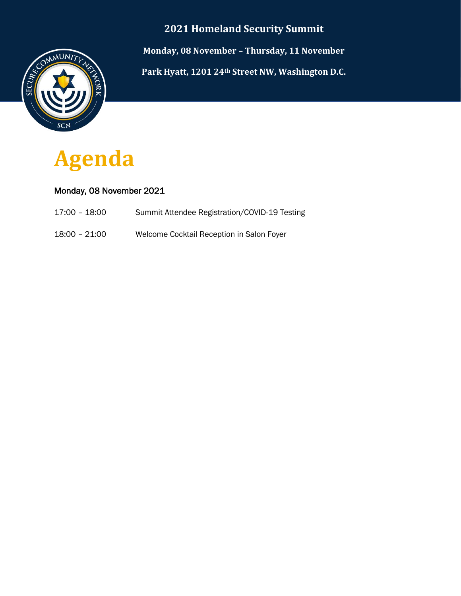### **2021 Homeland Security Summit**



**Monday, 08 November – Thursday, 11 November Park Hyatt, 1201 24th Street NW, Washington D.C.**



### Monday, 08 November 2021

- 17:00 18:00 Summit Attendee Registration/COVID-19 Testing
- 18:00 21:00 Welcome Cocktail Reception in Salon Foyer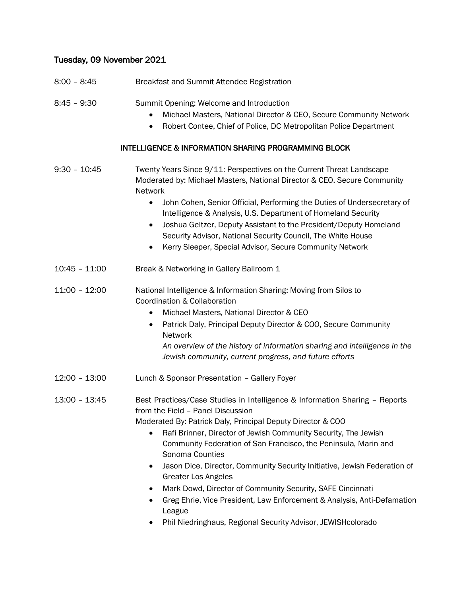# Tuesday, 09 November 2021

| $8:00 - 8:45$   | Breakfast and Summit Attendee Registration                                                                                                                                                                                                                                                                                                                                                                                                                                                                                                                                                                                                                                          |
|-----------------|-------------------------------------------------------------------------------------------------------------------------------------------------------------------------------------------------------------------------------------------------------------------------------------------------------------------------------------------------------------------------------------------------------------------------------------------------------------------------------------------------------------------------------------------------------------------------------------------------------------------------------------------------------------------------------------|
| 8:45 - 9:30     | Summit Opening: Welcome and Introduction<br>Michael Masters, National Director & CEO, Secure Community Network<br>Robert Contee, Chief of Police, DC Metropolitan Police Department                                                                                                                                                                                                                                                                                                                                                                                                                                                                                                 |
|                 | <b>INTELLIGENCE &amp; INFORMATION SHARING PROGRAMMING BLOCK</b>                                                                                                                                                                                                                                                                                                                                                                                                                                                                                                                                                                                                                     |
| $9:30 - 10:45$  | Twenty Years Since 9/11: Perspectives on the Current Threat Landscape<br>Moderated by: Michael Masters, National Director & CEO, Secure Community<br>Network<br>John Cohen, Senior Official, Performing the Duties of Undersecretary of<br>Intelligence & Analysis, U.S. Department of Homeland Security<br>Joshua Geltzer, Deputy Assistant to the President/Deputy Homeland<br>Security Advisor, National Security Council, The White House<br>Kerry Sleeper, Special Advisor, Secure Community Network                                                                                                                                                                           |
| $10:45 - 11:00$ | Break & Networking in Gallery Ballroom 1                                                                                                                                                                                                                                                                                                                                                                                                                                                                                                                                                                                                                                            |
| $11:00 - 12:00$ | National Intelligence & Information Sharing: Moving from Silos to<br>Coordination & Collaboration<br>Michael Masters, National Director & CEO<br>$\bullet$<br>Patrick Daly, Principal Deputy Director & COO, Secure Community<br>$\bullet$<br>Network<br>An overview of the history of information sharing and intelligence in the<br>Jewish community, current progress, and future efforts                                                                                                                                                                                                                                                                                        |
| $12:00 - 13:00$ | Lunch & Sponsor Presentation - Gallery Foyer                                                                                                                                                                                                                                                                                                                                                                                                                                                                                                                                                                                                                                        |
| $13:00 - 13:45$ | Best Practices/Case Studies in Intelligence & Information Sharing - Reports<br>from the Field - Panel Discussion<br>Moderated By: Patrick Daly, Principal Deputy Director & COO<br>Rafi Brinner, Director of Jewish Community Security, The Jewish<br>Community Federation of San Francisco, the Peninsula, Marin and<br>Sonoma Counties<br>Jason Dice, Director, Community Security Initiative, Jewish Federation of<br>$\bullet$<br><b>Greater Los Angeles</b><br>Mark Dowd, Director of Community Security, SAFE Cincinnati<br>Greg Ehrie, Vice President, Law Enforcement & Analysis, Anti-Defamation<br>League<br>Phil Niedringhaus, Regional Security Advisor, JEWISHcolorado |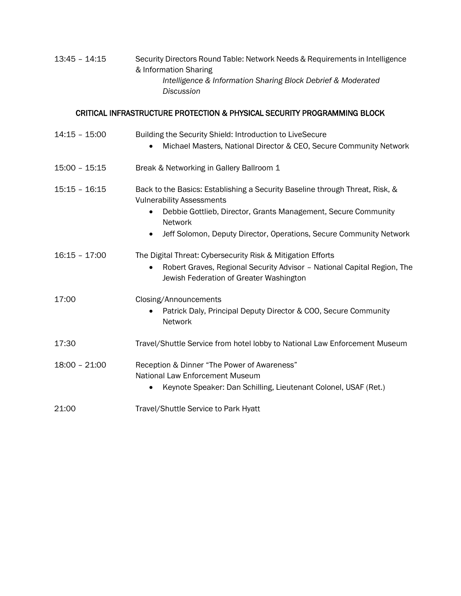| 13:45 - 14:15 | Security Directors Round Table: Network Needs & Requirements in Intelligence |
|---------------|------------------------------------------------------------------------------|
|               | & Information Sharing                                                        |
|               | Intelligence & Information Sharing Block Debrief & Moderated                 |
|               | Discussion                                                                   |

# CRITICAL INFRASTRUCTURE PROTECTION & PHYSICAL SECURITY PROGRAMMING BLOCK

| $14:15 - 15:00$ | Building the Security Shield: Introduction to LiveSecure                                                                        |
|-----------------|---------------------------------------------------------------------------------------------------------------------------------|
|                 | Michael Masters, National Director & CEO, Secure Community Network                                                              |
| $15:00 - 15:15$ | Break & Networking in Gallery Ballroom 1                                                                                        |
| $15:15 - 16:15$ | Back to the Basics: Establishing a Security Baseline through Threat, Risk, &<br><b>Vulnerability Assessments</b>                |
|                 | Debbie Gottlieb, Director, Grants Management, Secure Community<br>$\bullet$<br><b>Network</b>                                   |
|                 | Jeff Solomon, Deputy Director, Operations, Secure Community Network<br>$\bullet$                                                |
| $16:15 - 17:00$ | The Digital Threat: Cybersecurity Risk & Mitigation Efforts                                                                     |
|                 | Robert Graves, Regional Security Advisor - National Capital Region, The<br>$\bullet$<br>Jewish Federation of Greater Washington |
| 17:00           | Closing/Announcements                                                                                                           |
|                 | Patrick Daly, Principal Deputy Director & COO, Secure Community<br>Network                                                      |
| 17:30           | Travel/Shuttle Service from hotel lobby to National Law Enforcement Museum                                                      |
| $18:00 - 21:00$ | Reception & Dinner "The Power of Awareness"<br><b>National Law Enforcement Museum</b>                                           |
|                 | Keynote Speaker: Dan Schilling, Lieutenant Colonel, USAF (Ret.)                                                                 |
| 21:00           | Travel/Shuttle Service to Park Hyatt                                                                                            |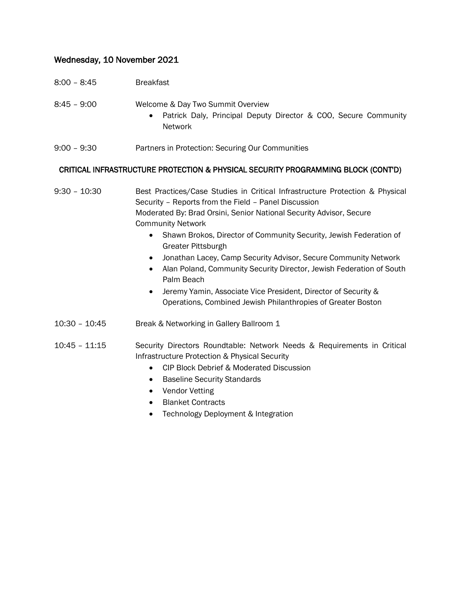### Wednesday, 10 November 2021

- 8:00 8:45 Breakfast
- 8:45 9:00 Welcome & Day Two Summit Overview
	- Patrick Daly, Principal Deputy Director & COO, Secure Community Network
- 9:00 9:30 Partners in Protection: Securing Our Communities

#### CRITICAL INFRASTRUCTURE PROTECTION & PHYSICAL SECURITY PROGRAMMING BLOCK (CONT'D)

9:30 – 10:30 Best Practices/Case Studies in Critical Infrastructure Protection & Physical Security – Reports from the Field – Panel Discussion Moderated By: Brad Orsini, Senior National Security Advisor, Secure Community Network

- Shawn Brokos, Director of Community Security, Jewish Federation of Greater Pittsburgh
- Jonathan Lacey, Camp Security Advisor, Secure Community Network
- Alan Poland, Community Security Director, Jewish Federation of South Palm Beach
- Jeremy Yamin, Associate Vice President, Director of Security & Operations, Combined Jewish Philanthropies of Greater Boston
- 10:30 10:45 Break & Networking in Gallery Ballroom 1
- 10:45 11:15 Security Directors Roundtable: Network Needs & Requirements in Critical Infrastructure Protection & Physical Security
	- CIP Block Debrief & Moderated Discussion
	- Baseline Security Standards
	- Vendor Vetting
	- Blanket Contracts
	- Technology Deployment & Integration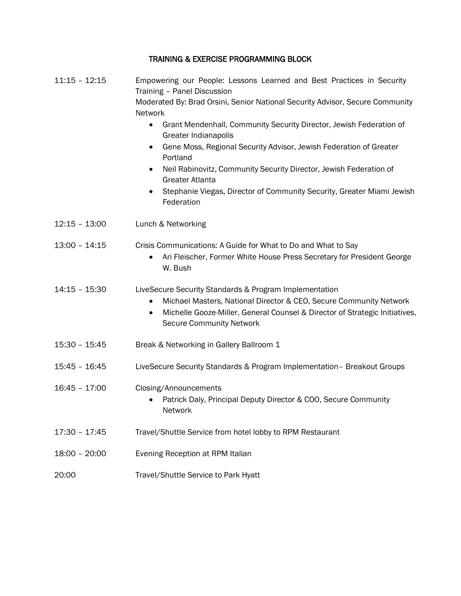### TRAINING & EXERCISE PROGRAMMING BLOCK

| $11:15 - 12:15$ | Empowering our People: Lessons Learned and Best Practices in Security<br>Training - Panel Discussion<br>Moderated By: Brad Orsini, Senior National Security Advisor, Secure Community<br>Network<br>Grant Mendenhall, Community Security Director, Jewish Federation of<br>$\bullet$<br>Greater Indianapolis<br>Gene Moss, Regional Security Advisor, Jewish Federation of Greater<br>$\bullet$<br>Portland<br>Neil Rabinovitz, Community Security Director, Jewish Federation of<br>$\bullet$<br><b>Greater Atlanta</b><br>Stephanie Viegas, Director of Community Security, Greater Miami Jewish<br>Federation |
|-----------------|------------------------------------------------------------------------------------------------------------------------------------------------------------------------------------------------------------------------------------------------------------------------------------------------------------------------------------------------------------------------------------------------------------------------------------------------------------------------------------------------------------------------------------------------------------------------------------------------------------------|
| $12:15 - 13:00$ | Lunch & Networking                                                                                                                                                                                                                                                                                                                                                                                                                                                                                                                                                                                               |
| $13:00 - 14:15$ | Crisis Communications: A Guide for What to Do and What to Say<br>Ari Fleischer, Former White House Press Secretary for President George<br>$\bullet$<br>W. Bush                                                                                                                                                                                                                                                                                                                                                                                                                                                  |
| $14:15 - 15:30$ | LiveSecure Security Standards & Program Implementation<br>Michael Masters, National Director & CEO, Secure Community Network<br>$\bullet$<br>Michelle Gooze-Miller, General Counsel & Director of Strategic Initiatives,<br><b>Secure Community Network</b>                                                                                                                                                                                                                                                                                                                                                      |
| 15:30 - 15:45   | Break & Networking in Gallery Ballroom 1                                                                                                                                                                                                                                                                                                                                                                                                                                                                                                                                                                         |
| 15:45 - 16:45   | LiveSecure Security Standards & Program Implementation - Breakout Groups                                                                                                                                                                                                                                                                                                                                                                                                                                                                                                                                         |
| $16:45 - 17:00$ | Closing/Announcements<br>Patrick Daly, Principal Deputy Director & COO, Secure Community<br>Network                                                                                                                                                                                                                                                                                                                                                                                                                                                                                                              |
| $17:30 - 17:45$ | Travel/Shuttle Service from hotel lobby to RPM Restaurant                                                                                                                                                                                                                                                                                                                                                                                                                                                                                                                                                        |
| 18:00 - 20:00   | Evening Reception at RPM Italian                                                                                                                                                                                                                                                                                                                                                                                                                                                                                                                                                                                 |
| 20:00           | Travel/Shuttle Service to Park Hyatt                                                                                                                                                                                                                                                                                                                                                                                                                                                                                                                                                                             |